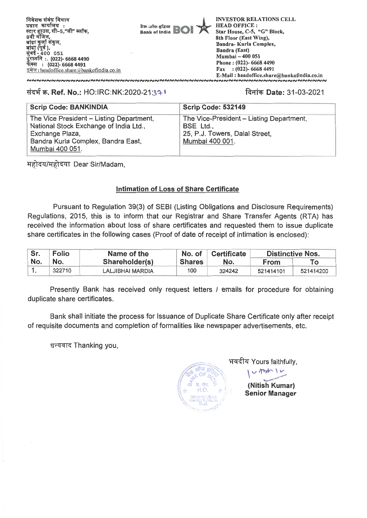**निवेशक संबंध विभाग** प्रधान कार्यालय**ः** lधान कायोलय :<br>टार ह्राउस, सी–5,"जी" ब्लो **8\* ,**  बांद्रा कुलो संकुल,<br>बांद्रा (पूर्व ),<br>मुंबई <u>-</u> 400 051 **(022)- 6668 4490 : (022)- 6668 4491**  इमेल: headoffice.share @bankofindia.co.in

**Bank of India** 

**INVESTOR RELATIONS CELL HEAD OFFICE : Star House, C-5, "G" Block, 8th Floor (East Wing), Bandra- Kuria Complex, Bandra (East) Mumbai - 400 051 Phone : (022)- 6668 4490 Fax : (022)- 6668 4491 E-Mail : headoffice.share@bankofindia.co.in NNNNNNNNNNNNNNNNNNNNNNNNNN** 

## **mow. Ref. No.: HO:IRC:NK:2020-21:31-1 Date: 31-03-2021**

| <b>Scrip Code: BANKINDIA</b>                                                                                                                                   | <b>Scrip Code: 532149</b>                                                                                  |
|----------------------------------------------------------------------------------------------------------------------------------------------------------------|------------------------------------------------------------------------------------------------------------|
| The Vice President - Listing Department,<br>National Stock Exchange of India Ltd.,<br>Exchange Plaza,<br>Bandra Kurla Complex, Bandra East,<br>Mumbai 400 051. | The Vice-President - Listing Department,<br>BSE Ltd.,<br>25, P.J. Towers, Dalal Street,<br>Mumbai 400 001. |

*Hहोदय/महोदया Dear Sir/Madam,* 

## **Intimation of Loss of Share Certificate**

**Pursuant to Regulation 39(3) of SEBI (Listing Obligations and Disclosure Requirements) Regulations, 2015, this is to inform that our Registrar and Share Transfer Agents (RTA) has received the information about loss of share certificates and requested them to issue duplicate share certificates in the following cases (Proof of date of receipt of intimation is enclosed):** 

| Sr. | <b>Folio</b> | Name of the      | No. of        | <b>Certificate</b> | <b>Distinctive Nos.</b> |           |
|-----|--------------|------------------|---------------|--------------------|-------------------------|-----------|
| No. | No.          | Shareholder(s)   | <b>Shares</b> | No.                | From                    |           |
|     | 322710       | LALJIBHAI MARDIA | 100           | 324242             | 521414101               | 521414200 |

**Presently Bank has received only request letters / emails for procedure for obtaining duplicate share certificates.** 

**Bank shall initiate the process for Issuance of Duplicate Share Certificate only after receipt of requisite documents and completion of formalities like newspaper advertisements, etc.** 

**t.F-71--R" Thanking you,** 



भवदीय Yours faithfully,

**(Nitish Kumar) Senior Manager** 

**v.**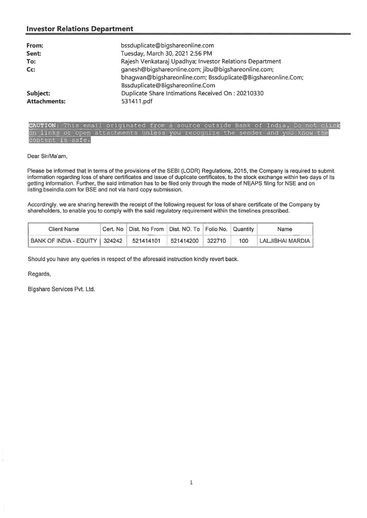## **Investor Relations Department**

| From:<br>Sent:<br>To:<br>Cc: | bssduplicate@bigshareonline.com<br>Tuesday, March 30, 2021 2:56 PM<br>Rajesh Venkataraj Upadhya; Investor Relations Department<br>ganesh@bigshareonline.com; jibu@bigshareonline.com;<br>bhagwan@bigshareonline.com; Bssduplicate@Bigshareonline.Com;<br>Bssduplicate@Bigshareonline.Com |
|------------------------------|------------------------------------------------------------------------------------------------------------------------------------------------------------------------------------------------------------------------------------------------------------------------------------------|
| Subject:                     | Duplicate Share Intimations Received On: 20210330                                                                                                                                                                                                                                        |
| <b>Attachments:</b>          | 531411.pdf                                                                                                                                                                                                                                                                               |

CAUTION: This email originated from a source outside Bank of India. Do not click on links or open attachments unless you recognize the sender and you know the content is safe.

Dear Sir/Ma'am,

Please be informed that in terms of the provisions of the SEBI (LODR) Regulations, 2015, the Company is required to submit information regarding loss of share certificates and issue of duplicate certificates, to the stock exchange within two days of its getting information. Further, the said intimation has to be filed only through the mode of NEAPS filing for NSE and on listing.bseindia.com for BSE and not via hard copy submission.

Accordingly, we are sharing herewith the receipt of the following request for loss of share certificate of the Company by shareholders, to enable you to comply with the said regulatory requirement within the timelines prescribed.

| <b>Client Name</b>              | Cert. No   Dist. No From   Dist. NO. To   Folio No.   Quantity |           |        |     | Name             |
|---------------------------------|----------------------------------------------------------------|-----------|--------|-----|------------------|
| BANK OF INDIA - EQUITY   324242 | 521414101                                                      | 521414200 | 322710 | 100 | LALJIBHAI MARDIA |

Should you have any queries in respect of the aforesaid instruction kindly revert back.

Regards,

Bigshare Services Pvt. Ltd.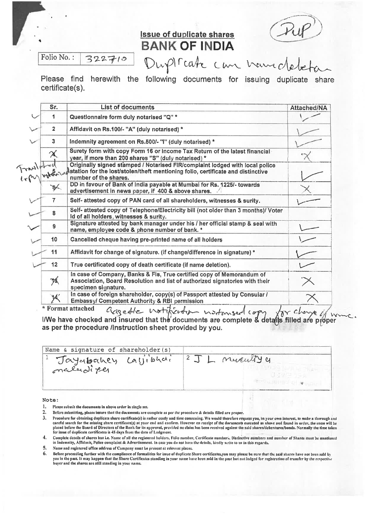# **Issue of duplicate shares BANK OF INDIA**

Folio No. : 322710

1 Duptrate

Please find herewith the following documents for issuing duplicate share certificate(s).

| Sr.             | <b>List of documents</b>                                                                                                                                                                           | Attached/NA |
|-----------------|----------------------------------------------------------------------------------------------------------------------------------------------------------------------------------------------------|-------------|
| 1               | Questionnaire form duly notarised "Q" *                                                                                                                                                            |             |
| $\overline{2}$  | Affidavit on Rs.100/- "A" (duly notarised) *                                                                                                                                                       |             |
| 3               | Indemnity agreement on Rs.500/- "I" (duly notarised) *                                                                                                                                             |             |
| $\chi$          | Surety form with copy Form 16 or income Tax Return of the latest financial<br>year, if more than 200 shares "S" (duly notarised) *                                                                 |             |
| ravalpher       | Originally signed stamped / Notarised FIR/complaint lodged with local police<br>with local politicity of the lost/stolen/theft mentioning folio, certificate and distinctive number of the shares. |             |
| $\frac{1}{2}$   | DD in favour of Bank of India payable at Mumbai for Rs. 1225/- towards<br>advertisement in news paper, if 400 & above shares.                                                                      |             |
| 7               | Self- attested copy of PAN card of all shareholders, witnesses & surity.                                                                                                                           |             |
| 8               | Self- attested copy of Telephone/Electricity bill (not older than 3 months)/ Voter<br>Id of all holders, witnesses & surity.                                                                       |             |
| 9               | Signature attested by bank manager under his / her official stamp & seal with<br>name, employee code & phone number of bank. *                                                                     |             |
| 10              | Cancelled cheque having pre-printed name of all holders                                                                                                                                            |             |
| 11              | Affidavit for change of signature. (if change/difference in signature) *                                                                                                                           |             |
| 12 <sub>2</sub> | True certificated copy of death certificate (if name deletion).                                                                                                                                    |             |
| 75,             | In case of Company, Banks & Fls, True certified copy of Memorandum of<br>Association, Board Resolution and list of authorized signatories with their<br>specimen signature.                        |             |
| $\cancel{14}$   | In case of foreign shareholder, copy(s) of Passport attested by Consular /<br><b>Embassy/ Competent Authority &amp; RBI permission</b>                                                             |             |

\* Format attached agedle noti I/We have checked and insured that the documents are complete as per the procedure /instruction sheet provided by you. *ts&---*)*de*  filled are proper

| Name & signature of shareholder(s) | neveul'y y |
|------------------------------------|------------|
| Jayabahey calibhai                 |            |
|                                    |            |

Note

╱

- 1. Please submit the documents in above order in single set.
- 2. Before submitting, please insure that the documents are complete as per the procedure & details filled are proper.
- 3. Procedure for obtaining duplicate share certificate(s) is rather costly and time consuming. We would therefore request you, in your own interest, to make a thorough and<br>careful search for the missing share certificate(s placed before the Board of Directors of the Bunk for its approval, provided no claim has been received against the said shares/debentures/bonds. Normally the time taken<br>for issue of duplicate certificates is 45 days from t
- 4. Complete details of shares lost i.e. Name of all the registered holders, Folio number, Certificate numbers, Distinctive numbers and number of Shares must be mentioned in Indemnity, Affidavit, Police complaint & Advertisement. In case you do not have the details, kindly write to us in this regards,

5. Name and registered office address of Company must be present at relevant places.

6. Before proceeding further with the compliance of formalities for issue or thiptleote Share certilicates,you may please be sure that the said shares have not been sold is) you in the past. It may happen that the Share Certificates standing in your name have been sold in the past but not lodged for registration of transfer by the respective<br>buyer and the shares are still standing in your name